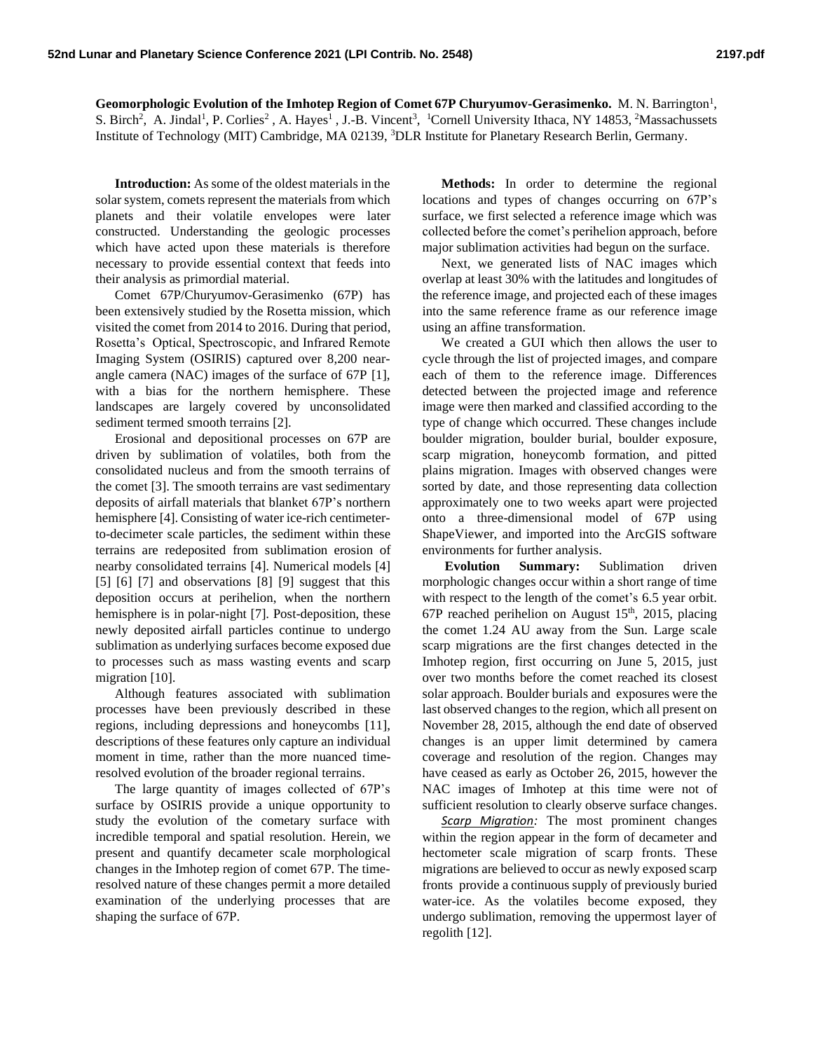Geomorphologic Evolution of the Imhotep Region of Comet 67P Churyumov-Gerasimenko. M. N. Barrington<sup>1</sup>, S. Birch<sup>2</sup>, A. Jindal<sup>1</sup>, P. Corlies<sup>2</sup>, A. Hayes<sup>1</sup>, J.-B. Vincent<sup>3</sup>, <sup>1</sup>Cornell University Ithaca, NY 14853, <sup>2</sup>Massachussets Institute of Technology (MIT) Cambridge, MA 02139, <sup>3</sup>DLR Institute for Planetary Research Berlin, Germany.

**Introduction:** As some of the oldest materials in the solar system, comets represent the materials from which planets and their volatile envelopes were later constructed. Understanding the geologic processes which have acted upon these materials is therefore necessary to provide essential context that feeds into their analysis as primordial material.

Comet 67P/Churyumov-Gerasimenko (67P) has been extensively studied by the Rosetta mission, which visited the comet from 2014 to 2016. During that period, Rosetta's Optical, Spectroscopic, and Infrared Remote Imaging System (OSIRIS) captured over 8,200 nearangle camera (NAC) images of the surface of 67P [1], with a bias for the northern hemisphere. These landscapes are largely covered by unconsolidated sediment termed smooth terrains [2].

Erosional and depositional processes on 67P are driven by sublimation of volatiles, both from the consolidated nucleus and from the smooth terrains of the comet [3]. The smooth terrains are vast sedimentary deposits of airfall materials that blanket 67P's northern hemisphere [4]. Consisting of water ice-rich centimeterto-decimeter scale particles, the sediment within these terrains are redeposited from sublimation erosion of nearby consolidated terrains [4]. Numerical models [4] [5] [6] [7] and observations [8] [9] suggest that this deposition occurs at perihelion, when the northern hemisphere is in polar-night [7]. Post-deposition, these newly deposited airfall particles continue to undergo sublimation as underlying surfaces become exposed due to processes such as mass wasting events and scarp migration [10].

Although features associated with sublimation processes have been previously described in these regions, including depressions and honeycombs [11], descriptions of these features only capture an individual moment in time, rather than the more nuanced timeresolved evolution of the broader regional terrains.

The large quantity of images collected of 67P's surface by OSIRIS provide a unique opportunity to study the evolution of the cometary surface with incredible temporal and spatial resolution. Herein, we present and quantify decameter scale morphological changes in the Imhotep region of comet 67P. The timeresolved nature of these changes permit a more detailed examination of the underlying processes that are shaping the surface of 67P.

**Methods:** In order to determine the regional locations and types of changes occurring on 67P's surface, we first selected a reference image which was collected before the comet's perihelion approach, before major sublimation activities had begun on the surface.

Next, we generated lists of NAC images which overlap at least 30% with the latitudes and longitudes of the reference image, and projected each of these images into the same reference frame as our reference image using an affine transformation.

We created a GUI which then allows the user to cycle through the list of projected images, and compare each of them to the reference image. Differences detected between the projected image and reference image were then marked and classified according to the type of change which occurred. These changes include boulder migration, boulder burial, boulder exposure, scarp migration, honeycomb formation, and pitted plains migration. Images with observed changes were sorted by date, and those representing data collection approximately one to two weeks apart were projected onto a three-dimensional model of 67P using ShapeViewer, and imported into the ArcGIS software environments for further analysis.

**Evolution Summary:** Sublimation driven morphologic changes occur within a short range of time with respect to the length of the comet's 6.5 year orbit. 67P reached perihelion on August  $15<sup>th</sup>$ , 2015, placing the comet 1.24 AU away from the Sun. Large scale scarp migrations are the first changes detected in the Imhotep region, first occurring on June 5, 2015, just over two months before the comet reached its closest solar approach. Boulder burials and exposures were the last observed changes to the region, which all present on November 28, 2015, although the end date of observed changes is an upper limit determined by camera coverage and resolution of the region. Changes may have ceased as early as October 26, 2015, however the NAC images of Imhotep at this time were not of sufficient resolution to clearly observe surface changes.

*Scarp Migration:* The most prominent changes within the region appear in the form of decameter and hectometer scale migration of scarp fronts. These migrations are believed to occur as newly exposed scarp fronts provide a continuous supply of previously buried water-ice. As the volatiles become exposed, they undergo sublimation, removing the uppermost layer of regolith [12].